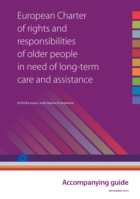European Charter of rights and responsibilities of older people in need of long-term care and assistance

EUSTaCEA project, under Daphne III programme



**NOVEMBER 2010**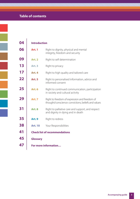# **Table of contents**

| 04 | <b>Introduction</b>                  |                                                                                                      |
|----|--------------------------------------|------------------------------------------------------------------------------------------------------|
| 06 | <b>Art. 1</b>                        | Right to dignity, physical and mental<br>integrity, freedom and security                             |
| 09 | <b>Art. 2</b>                        | Right to self determination                                                                          |
| 13 | <b>Art. 3</b>                        | Right to privacy                                                                                     |
| 17 | Art. 4                               | Right to high quality and tailored care                                                              |
| 22 | <b>Art. 5</b>                        | Right to personalised information, advice and<br>informed consent                                    |
| 25 | Art. 6                               | Right to continued communication, participation<br>in society and cultural activity                  |
| 29 | <b>Art. 7</b>                        | Right to freedom of expression and freedom of<br>thought/conscience: convictions, beliefs and values |
| 31 | Art. 8                               | Right to palliative care and support, and respect<br>and dignity in dying and in death               |
| 35 | Art. 9                               | Right to redress                                                                                     |
| 38 | <b>Art. 10</b>                       | Your Responsibilities                                                                                |
| 41 | <b>Check list of recommendations</b> |                                                                                                      |
| 45 | <b>Glossary</b>                      |                                                                                                      |
| 47 | For more information                 |                                                                                                      |

AN MARKA MARKA MARKA MARKA MARKA MARKA MARKA MARKA MARKA MARKA MARKA MARKA MARKA MARKA MARKA MARKA MARKA MARKA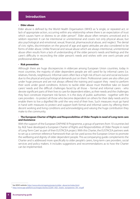# ায়।<br>মাতৃ বিভিন্ন বিভিন্ন সম্পৰ্ক সম্পৰ্ক সম্পৰ্ক সম্পৰ্ক সম্পৰ্ক সম্পৰ্ক সম্পৰ্ক সম্পৰ্ক সম্পৰ্ক সম্পৰ্ক সম্<br>ৰাষ্ট্ৰ সম্পৰ্ক সম্পৰ্ক সম্পৰ্ক সম্পৰ্ক সম্পৰ্ক সম্পৰ্ক সম্পৰ্ক সম্পৰ্ক সম্পৰ্ক সম্পৰ্ক সম্পৰ্ক সম্পৰ্ক সম্পৰ্

#### **· Elder abuse**

Elder abuse is defined by the World Health Organisation (WHO) as "a single, or repeated act, or lack of appropriate action, occurring within any relationship where there is an expectation of trust which causes harm or distress to an older person"'. Elder abuse often remains unnoticed and is seldom reported. It can be intentional or unintentional and covers not only physical abuse, but also psychological and emotional, sexual, financial, pharmaceutical abuse, and neglect. The denial of civic rights, discrimination on the ground of age and ageist attitudes are also considered to be forms of elder abuse. Unlike financial and sexual abuse which are always intentional, unintentional abuse often results from a lack of understanding of the older person's needs and feelings and the carer's difficulty in reconciling the older person's needs and wishes with one own's private and professional demands.

#### **· Risk prevention**

Although there are huge discrepencies in eldercare among European Union countries, today in most countries, the majority of older dependent people are still cared for by informal carers (i.e. relatives, friends, neighbours). Informal carers often face a high risk of burn-out and social exclusion due to the physical and psychological demands put on them. Professional carers are also often put under huge pressure and are not always offered the training and support they need to perform their work under good conditions. Actions to tackle elder abuse must therefore take on board carers' needs and the difficult challenges faced by all those – formal and informal carers - who devote significant parts of their lives to care for dependent elders, as their needs and the challenges they face constitute important risk factors. It is the duty of public authorities - together with the care providers - to protect all those who become dependent on others for their daily needs and to enable them to live a dignified life until the very end of their lives. Such measures must go hand in hand with measures to protect and support both formal and informal carers by offering them decent working and living conditions and acknowledging and valuing the huge contribution they make to the community.

#### **· The European Charter of Rights and Responsibilities of Older People in need of Long-term care and Assistance**

With the support of the European DAPHNE III Programme, a group of partners from 10 countries led by AGE have developed a European Charter of Rights and Responsibilities of Older People in need of Long-Term Care<sup>2</sup> as part of their EUSTACEA project. With this Charter, the EUSTACEA partners seek to set up a common reference framework that can be used across the European Union to promote the wellbeing and dignity of older dependent people. This accompanying guide complements the Charter and is addressed more specifically to older people's carers, long-term care providers, social services and policy makers. It includes suggestions and recommendations as to how the Charter can be implemented.

1

See WHO website: http://www.who.int/ageing/projects/elder\_abuse/en/index.html.

<sup>&</sup>lt;sup>2</sup> http://www.age-platform.eu/images/stories/22204\_AGE\_charte\_europeenne\_EN\_v4.pdf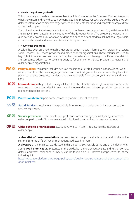#### **· How is the guide organised?**

This accompanying guide addresses each of the rights included in the European Charter. It explains what they mean and how they can be translated into practice. For each article the guide provides detailed information to different target groups and presents solutions and concrete examples from across the European Union.

The guide does not aim to replace but rather to complement and support existing initiatives which are already implemented in many countries of the European Union. The solutions provided in this guide are only examples of what can be done and need to be adapted to each national legal, social and cultural context and to each individual's history and needs.

#### **· How to use this guide?**

A colour has been assigned to each target group: policy makers, informal carers, professional carers, social services, LTC service providers and older people's organisations. These colours are used to highlight information and sections that may be most relevant for these groups. Recommendations are sometimes addressed to several groups, as for example for service providers, caregivers and older people's organisations.

- **PM**▧ **Policy makers:** this group includes decision-makers at all levels (European, national, local) who are responsible for the financing, organisation and monitoring of eldercare services. They have the power to legislate on quality standards and are responsible for inspection, enforcement and sanctions.
	- **IC**▧ **Informal carers:** they include mainly relatives, but also close friends, neighbours, and community volunteers. In some countries, informal carers include undeclared migrants providing care at home to dependent older persons.
- **PC**  $\mathbb{S}$  **Professional carers:** paid home, community and residential care staff.
- **SS**▧ **Social Services:** Local agencies responsible for ensuring that older people have access to the services they need.
- **SP** Service providers: public, private non-profit and commercial agencies delivering services to older people in need of long-term care in institutional, community or homecare settings.
- **OP**▧ **Older people's organisations:** associations whose mission is to advance the interests of older people.

A **checklist of recommendations** for each target group is available at the end of the guide summarising the different recommendations addressed to them.

**A glossary** of the main key words used in this guide is also available at the end of the document.

Some **good practices** are presented in the guide, but a more exhaustive list and further contact details (addresses, telephone numbers) can be found on AGE Platform Europe's website, at the following link:

http://www.age-platform.eu/en/age-policy-work/quality-care-standards-and-elder-abuse/1077 good-practices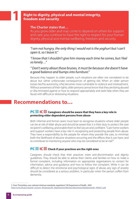# █**1 Right to dignity, physical and mental integrity, freedom and security Right to dignity, physical and mental integrity, freedom and security**

### **The Charter states that…**

As you grow older and may come to depend on others for support and care, you continue to have the right to respect for your human dignity, physical and mental wellbeing, freedom and security.

"I am not hungry, the only thing I would eat is the yoghurt but I can't open it, so I leave it."

"I know that I shouldn't give him money each time he comes, but I feel so lonely…"

" Don't worry about those bruises, it must be because she doesn't have a good balance and bumps into furniture."

Because they happen to older people, such situations are often not considered to be abuse but rather unfortunate consequences of getting old. When an older person looses her/his autonomy, s/he becomes more vulnerable to violence and mistreatment. Without awareness of their rights, older persons cannot know that they are being abused or discriminated against or how to respond appropriately and seek help when they are faced with difficult or distressing situations.

# █**Recommendations to…**

#### **PC**▧**IC**▧ **Caregivers should be aware that they have a key role in protecting older dependent persons from abuse**

Both informal and formal carers must learn to recognise situations where older people can be at risk of elder abuse and should be aware that it is their duty to protect the care recipient's wellbeing, and enable them to feel secure and confident. "Care home workers and support workers have a key role in recognising and protecting people from abuse. They have a responsibility to the people for whom they provide the care, to minimize both the likelihood of abusive situations occurring and the effects that it can have, and to contribute to monitoring anyone who may be considered to be 'at risk."<sup>3</sup>

## **PC**▧**IC**▧ **Check if your practices are the right ones**

Caregivers should check that their practices meet anti-discrimination and dignity guidelines. They should be able to advise their clients and families on how to make a formal complaint, including information on appropriate organisations to contact for information, advice and guidance and how to follow the complaint. While it can be difficult to detect the emotional and psychological signs of abuse, any sign of anxiety should be considered as a serious problem, in particular when the person suffers from dementia.

<sup>3</sup> From "Domiciliary care: national minimum standards, regulations", UK Department of Health, 2003

http://www.dh.gov.uk/prod\_consum\_dh/groups/dh\_digitalassets/@dh/@en/documents/digitalasset/dh\_4083671.pdf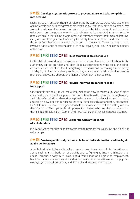#### **PM**▧ **Develop a systematic process to prevent abuse and take complaints into account**

Each service or institution should develop a step-by-step procedure to raise awareness of risks factors and help caregivers or other staff know what they have to do when they suspect or witness elder abuse. Complaints have to be taken seriously and both the older person and the person reporting elder abuse must be protected from any negative repercussions. Initial training programmes and refresher courses for formal and informal caregivers must integrate systematically the ability to observe, detect and handle even the most "invisible" types of elder abuse and discrimination. These trainings should involve a wide range of stakeholders such as caregivers, elder abuse helplines, doctors or the police.

# **PM**▧**SP**▧**SS**▧**OP**▧ **Raise awareness on elder abuse**

Unlike child abuse or domestic violence against women, elder abuse is still taboo. Public authorities, service providers and older people's organisations must break the taboo and raise awareness of the fact that figthing elder abuse and promoting the wellbeing and dignity of older dependent people is a duty shared by all, public authorities, service providers, relatives, neighbours and friends of dependent older persons.

### **PM**▧**SP**▧**SS**▧**OP**▧ **Provide information on where to call for support**

Older people and carers must receive information on how to report a situation of elder abuse and where to call for support. This information should be provided through widely available leaflets, dedicated websites in plain language and helplines. Information should also explain how a person can access the social benefits and assistance they are entitled to. A staff member can be designated to help persons in residential care settings access this information. This is particularly important for migrants who need help to understand the health and social care system of their host country and may face language barriers.

#### **PM**▧**SP**▧**SS**▧**OP**▧ **Cooperate with a wide range of stakeholders**

It is important to mobilise all those committed to promote the wellbeing and dignity of older people.

#### **PM**  $\mathbb{S}$  Create a public body responsible for anti-discrimination and the fight **against elder abuse**

A public body should be available for citizens to react to any form of discrimination and abuse, such as an Ombudsman or a public agency fighting against discrimination and abuse. This public body must cover age discrimination on all grounds: employment, health services, social services, etc. and must cover a broad definition of abuse: physical, sexual, psychological, emotional, and financial and material, and neglect.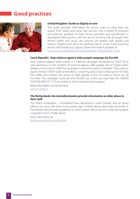# █**Good practices**



#### *United Kingdom: Guide on Dignity in care*

This guide provides information for service users on what they can expect from health and social care services, and a wealth of resources and practical guidance to help service providers and practitioners in developing their practice, with the aim of ensuring that all people who receive health and social care services are treated with dignity and respect. 'Dignity tests' allow the professionals to check if their practices respect the beneficiary's dignity. More information available at: www.scie.org.uk/publications/guides/guide15/files/guide15.pdf

#### *Czech Republic: Stop violence against older people campaign by Zivot90*

Stop violence against older people is a national campaign developed by ZIVOT 90 to raise awareness on the problem of violence against older people and to trigger public debate on this issue. In 2006 the campaign involved the launch of a leaflet "Stop violence against seniors" (STOP násilí na seniorech), containing advice and contact points for help. The leaflet also contains life stories of older people victims of violence "Voices we do not hear". The campaign continues and Zivot90 runs a free non-stop Help-line SENIOR TELEFON (800 157 157) accessible to all, for assistance and support.

More information can be found at www.zivot90.cz

#### *The Netherlands: the Amstelland police provide information on elder abuse to their staff .*

The Police Amsterdam – Amstelland have developed a small booklet that all police officers can carry with them to recognize signs of elder abuse when they encounter it. The booklet also provides guidelines to what a police officer can do to help and support a possible victim of elder abuse.

More information at politie-amsterdam-amstelland.nl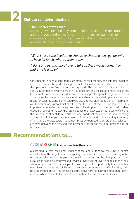# █**2 Right to self determination**

#### **The Charter states that…**

As you grow older and may come to depend on others for support and care, you continue to have the right to make your own life choices and to respect for your free will. This right extends to an appropriate third party of your choice.

#### "What I miss is the freedom to choose, to choose when I get up, what to have for lunch, what to wear today.

"I don't understand why I have to take all these medications, they make me feel dizzy."

Older people in need of long-term care often see their mobility and self-determination reduced. This can be particularly problematic for older women who depended on their partner for their financial and mobility needs. This can be due to factors including constraints imposed by providers of institutional care and the lack of time of caregivers. For example, some service providers do not encourage older people to go to the shops and choose the products they want, or do not allow people to help prepare their own meals for safety reasons. Some caregivers also address older people in an informal or overly familiar way without first checking that this is what the older person wants. It is important to let older people express their will and opinions and respect their wishes, especially regarding the way they are cared for, their expectations for quality of life and their medical treatment. It must also be understood that the aim of ensuring the safety and security of older people sometimes conflicts with the aim of promoting autonomy. When this is the case, careful judgement must be exercised to ensure that a balance is achieved between the two, and care givers must recognise the older person's right to take some risks.

# █**Recommendations to…**

# **PC**▧**IC**▧**SP**▧ **Involve people in their care**

Maintaining a care recipient's independence and autonomy must be a central consideration. This might involve designing a personal time schedule including wakeup time, meal times, and sleeping time which accommodates the older person's wishes as much as possible. Caregivers and service providers must involve people in their care whenever possible. The care recipients must be given the opportunity to express their own views on their quality of life, and if they have communication difficulties they must be supported to do so. This can take a participative form, for example through residents' councils where residents, family, staff, and public authorities can all participate.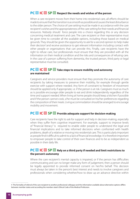# **PC**▧**IC**▧**SP**▧ **Respect the needs and wishes of the person**

When a care recipient moves from their home into residential care, all efforts should be made to ensure that the transition is as smooth as possible and causes the least disturbance to the older person. The choice of care setting must be made in accordance with the care recipient's wishes and the appropriateness of the care setting for their needs and financial resources. Nobody should force people into a choice regarding this or any decision concerning medical treatment and care. The care recipient or their representative must be given time to consider all the available options, including those based on medical grounds. They should be given the opportunity to ask for a second opinion to help make their decision<sup>\*</sup>and receive assistance to get relevant information including contact with other people or organisations that can provide this. Finally, care recipients have the right to refuse care, but professionals must ensure that they are provided with all the information on their medical condition and the risks and consequences of refusing care. In the case of a person suffering from dementia, the trusted person, third party or legal representative must be consulted.

## **PC**▧**IC**▧**SP**▧ **Take steps to ensure mobility and autonomy are maintained**

Caregivers and service providers must ensure that they promote the autonomy of care recipients by taking measures to preserve their mobility, for example through gentle exercise with support where needed. Any form of constraint to freedom of movement should be applied only if appropriate, i.e. if the person is at risk. Caregivers must as much as is possible encourage older people to eat and drink independently regardless of the time and support needed. When living at home people should keep a kitchen if possible and if the person cannot cook, s/he must be consulted on his/her preferences regarding the composition of their meals. Living accommodation should be arranged to encourage mobility and movement.

## **PC**▧**IC**▧**SP**▧ **Provide adequate support for decision-making**

Care recipients have the right to ask for support and help in decision-making, especially when they suffer from cognitive impairment. For example, support to improve levels of "financial literacy" is required to enable older people to understand the legal and financial implications and to take informed decisions when confronted with health problems, death of a relative or moving into residential care. This is particularly important as people find it difficult to admit to a lack of financial knowledge. It is therefore important to empower people to take control of their own finances and to be as independent as possible in their daily life.

## **PC**▧**IC**▧**SP**▧ **Rely on a third party if needed and limit restrictions to the person's autonomy**

Where the care recipient's mental capacity is impaired, or if the person has difficulties communicating and can no longer make any form of judgement, then a person should be legally appointed to provide informed consent on her/his behalf. This decision must always be taken in the person's best interest and needs to involve caregivers and professionals when considering whether/how to draw up an advance directive within

<sup>4</sup> The formality of referral of the care recipient to another professional colleague and the information available about alternative options differs between member states and according the member state's Ethical Code of the Medical Profession.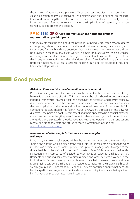the context of advance care planning. Carers and care recipients must be given a clear explanation of any restrictions on self-determination and, if existing, on the legal framework concerning these restrictions and the specific areas they cover. Finally, written instructions and informed consent, e.g. stating the implications of treatment, should be signed by care recipients and doctors.

## **PM**▧**SS**▧**OP**▧ **Give information on the rights and limits of representation by a third party**

Care recipients must be told about the possibility of being represented by a thirdparty and of giving advance directives, especially for decisions concerning their property and income, and for health and care questions. General information on how to proceed can be provided in the form of a leaflet written in simple language as well as on a website or through an oral discussion explaining the different options and the rights of the third-party representative regarding decision-making. A seniors' helpline, a consumer protection helpline, or a legal assistance helpline can also be developed including financial and legal issues.

# █**Good practices**

#### *Alzheimer Europe advice on advance directives (summary)*

Professional caregivers must always ascertain the current wishes of patients even if they have written an advance directive. This statement, to be valid, should respect minimum legal requirements; for example, that the person has the necessary and relevant capacity, is free from undue pressure, has not made a more recent version and has stated wishes that are applicable to the current situation/proposed treatment. If the person is fully competent, doctors should not follow instructions/wishes expressed in the advance directive. If the person is not fully competent and there appears to be a conflict between current and former wishes, the person's current wishes and feelings should be considered alongside those expressed in the advance directive as they represent the person's current mental and emotional state and attitudes. More information is available at: www.alzheimer-europe.org

#### *Involvement of older people in their care – some examples in Europe*

In Germany it is now a quality standard that the nursing homes are primarily the residents' "home" and not the working place of the caregivers. This means, for example, that every resident can decide his/her wake-up time. It is up to the management to organize the time schedule for the staff. In France, the Conseil de la vie sociale is set up each residential institution and is composed of elected representatives of residents, families, and staff. Residents can also regularly meet to discuss meals and other services provided in the institution. In Belgium, weekly group discussions are held between carers and care recipients. In a care centre in Flanders, the residents participate in their own care through weekly group discussions made of 15 people. They are consulted about what needs to be changed in their care, environment and care center policy, to enhance their quality of life. A psychologist coordinates these discussions.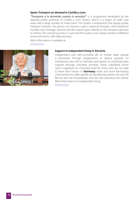#### *Spain: Transport on demand in Castilla y Leon*

**"Transporte a la demanda cuando lo necesites!"** is a programme developed by the regional public authority of Castilla y Leon (Spain), which is a region of wide rural areas with a large number of small towns. The system complements the regular public transport network. The person can reserve a seat in advance through a free telephone number, text message, Internet and the request goes directly to the transport operator or vehicle. The cost per journey is 1 euro and the routes cover a large number of different zones and towns, with daily journeys.

More information is available at:

www.jcyl.es.



#### *Support to independent living in Slovenia.*

Independent and self-controlled life of mobile older people is promoted through programmes to reduce pressure on institutional care and to motivate participants to contribute peer support through volunteer activities. Partly subsidised home care is organised on municipal level for those who are not able to leave their homes. In **Germany**, more and more flat-sharing communities for older people are developing, where not only the flat but also the housekeeper and the care assistance are shared. More information on independent living:

www.enil.eu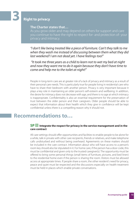# █**3 Right to privacy**

#### **The Charter states that…**

As you grow older and may depend on others for support and care you continue to have the right to respect for- and protection of- your privacy and intimacy.

"I don't like being treated like a piece of furniture. Can't they talk to me when they wash me instead of discussing between them what they did last weekend? I am not dead yet. I have feelings too!"

 "It took me three years as a child to learn not to wet my bed at night and now they want me to do it again because they don't have time to come and help me to the toilet at night!"

People in long-term care are at greater risk of a lack of privacy and intimacy as a result of their personal care needs. This is particularly true for people living in residential care who have to share their bedroom with another person. Privacy is very important because it plays a key role in maintaining an older person's self-esteem and wellbeing. In addition, the desire for intimacy does not decrease with age, and there is no age at which intimacy is inappropriate. Confidentiality is also an essential requirement for the preservation of trust between the older person and their caregivers. Older people should be able to expect that information about their health which they give in confidence will be kept confidential unless there is a compelling reason why it should not.

# █**Recommendations to…**

#### **SP**▧ **Integrate the respect for privacy in the service management and in the care contract**

All care settings should offer opportunities and facilities to enable people to be alone for a while, talk in private with other care recipients, friends or relatives, and make telephone calls undisturbed and without being overheard. Agreements on these matters should be included in the care contract. Information about who will have access to a person's room key should also be stipulated in it. For home care, if the person has a door code, this must be confidential and given only to the trusted caregiver(s). The opportunity must be offered to bring some personal things (small items of furniture, pictures, and bed linen) to the residential home even if the person is sharing the room. Visitors must be allowed access at appropriate times. If people share a room, the other resident's need for privacy, peace and quiet must be respected and the discussions especially on health treatment must be held in places which enable private conversations.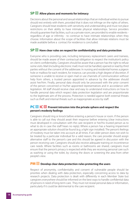## **SP**▧ **Allow places and moments for intimacy**

Decisions about the personal and sexual relationships that an individual wishes to pursue should rest entirely with them, provided that it does not infringe on the rights of others. Caregivers should treat residents with sensitivity and understanding and must not place restrictions on their ability to have intimate physical relationships. Service providers should guarantee that facilities, such as a private room, are provided to enable residents regardless of age or infirmity - to continue to have intimate relationships when they choose. Information about the scope of facilities that allow intimate relations must be made available before a contract for residence is concluded.

# **SP**  $\mathbb{S}$  Have clear rules on respect for confidentiality and data protection

Everyone who is providing care, including temporary replacement carers and trainees, should be made aware of their contractual obligation to respect the institution's policy on client confidentiality. Caregivers should be aware that a person has the right to refuse some visits. Mail (including electronic mail) must not be handled, opened or read by third parties without the consent of the addressee. In nursing and residential homes a pigeon hole or mailbox for each resident, for instance, can provide a high degree of discretion. If someone is unable to receive or open mail or use channels of communication without help from others, a trusted person appointed in advance by the addressee should assist her/him. Finally, personal data should only be processed with the prior consent of the person concerned or his/her appointed representatives and in accordance with legislation. All staff should receive clear and easy to understand instructions on how to handle personal data which respect data protection legislation and are proportionate to the legitimate aim of the process. Protection is needed against both external threats such as theft and internal threats such as inappropriate access by staff.

#### **PC**▧**IC**▧ **Prevent intrusion into the private sphere and respect the person's modesty feelings**

Caregivers should ring or knock before entering a person's house or room. If the person is able to call out they should await their response before entering (clear instructions must developed in consultation with the care recipient or her/his trusted person as to what to do in case the staff hears no reply). Where a person has a hearing impairment an appropriate solution should be found (e.g. a light sign installed). The person's feelings of modesty must be taken into account at all times. If an older person does not wish to be treated by a particular individual for a valid reason, the care provider should assign alternative staff to the person's care and this should be agreed in discussion with the person receiving care. Caregivers should also receive adequate training on incontinence care needs. Where facilities such as rooms or bathrooms are shared, caregivers must ensure that the person's privacy is respected while they are receiving personal care such as washing or using the toilet, by closing the doors or screening the area from other people's view.

#### **PM**▧ **Develop clear data protection rules protecting the users**

Respect of anonymity, confidentiality and consent of vulnerable people should be priorities when dealing with data protection, especially concerning access to data by research projects. Data protection is dealt with differently in each Member State but caregivers everywhere should be informed on the best ways to handle confidential data of persons in need of long-term care. They must not reveal personal data or information, particularly if it could be detrimental to the care recipient.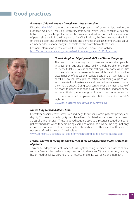# █**Good practices**

#### *European Union: European Directive on data protection*

Directive 95/46/EC is the legal reference for protection of personal data within the European Union. It sets up a regulatory framework which seeks to strike a balance between a high level of protection for the privacy of individuals and the free movement of personal data within the European Union (EU). To do so, the Directive sets strict limits on the collection and use of personal data and demands that each Member State set up an independent national body responsible for the protection of these data.

For more information, please consult the European Commission's website: http://europa.eu/legislation\_summaries/information\_society/l14012\_en.htm



#### *United Kingdom: Dignity behind Closed Doors Campaign*

The aim of the campaign is to raise awareness that people, whatever their age and physical ability, should be able to choose to use the toilet in private in all care settings. "Toilet Access and Use" has been chosen as a marker of human rights and dignity. Wide dissemination of educational leaflets, decision aids, standards and check lists to voluntary groups, patient and carer groups as well as to care staff, will make carers and care recipients aware of what they should expect. Giving back control over their most private of functions to dependent people will enhance their independence and rehabilitation, reduce lengths of stay and promote continence. For more information, please visit British Geriatrics Society's website:

www.bgs.org.uk/campaigns/dignity.htm#aims

#### *United Kingdom: Red Means Stop!*

Leicester's hospitals have introduced red pegs to further protect patients' privacy and dignity. Thousands of red dignity pegs have been circulated to wards and departments across all three hospitals. These large red pegs are used to clip curtains together around patients' bedsides when they are being examined or require privacy. The pegs not only ensure the curtains are closed properly, but also indicate to other staff that they should not enter. More information is available at:

www.uhl-tr.nhs.uk/patients/patient-information/caring-at-its-best/red-means-stop

#### *France: Charter of the rights and liberties of the cared person includes protection of privacy*

This charter adopted in September 2003 is legally binding in France. It applies to all care settings. Two articles deal with the protection of privacy: art. 7 (data protection, security, health, medical follow-up) and art. 12 (respect for dignity, wellbeing and intimacy).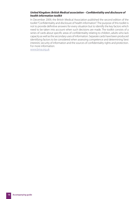#### *United Kingdom: British Medical association – Confi dentiality and disclosure of health information toolkit*

In December 2009, the British Medical Association published the second edition of the toolkit "Confidentiality and disclosure of health information". The purpose of this toolkit is not to provide definitive answers for every situation but to identify the key factors which need to be taken into account when such decisions are made. The toolkit consists of a series of cards about specific areas of confidentiality relating to children, adults who lack capacity as well as the secondary uses of information. Separate cards have been produced identifying factors to be considered when assessing competence and determining 'best interests', security of information and the sources of confidentiality rights and protection. For more information:

www.bma.org.uk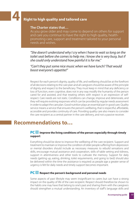# █**4 Right to high quality and tailored care**

#### **The Charter states that…**

As you grow older and may come to depend on others for support and care you continue to have the right to high quality, healthpromoting care, support and treatment tailored to your personal needs and wishes.

"She doesn't understand why I cry when I have to wait so long on the toilet seat before she comes to help me. I know she is very busy, but if she could only understand how painful it is for me."

"Can't they put some nice music when we have lunch? That would boost everyone's appetite!"

Respect for each person's dignity, quality of life, and wellbeing should be at the forefront of all decisions relating to the care plan and all caregivers should be aware of the principle of dignity and respect to the beneficiary. They must keep in mind that any deficiency or loss of function, even cognitive, does not in any way modify the humanity of the person cared for and assisted, and that treating others with respect is an expression of selfrespect. Care needs are not static. Conditions can change, improve and deteriorate, and they will require evolving responses which can be provided by regular needs assessment in order to adapt the care plan. Good nutrition plays an essential part in good care. Quality service means a service that ensures the person's wellbeing, that is respectful, affordable, accessible and provides continuity of care. Providing quality care also means to consider the care recipient as a central partner in the care delivery, and not a passive receiver.

# █**Recommendations to…**

#### **PC**▧ **Improve the living conditions of the person especially through timely support**

Everything should be done to improve the wellbeing of the care recipient. Support and treatment to maintain or improve the condition of older people suffering from depression or mental disorders should include as necessary measures to rebuild sensations and skills, encourage mutual assistance and cooperation, skills of table setting and tidiness, support in attentiveness and other tools to cultivate the memory. Support for daily needs (getting up, eating, drinking, toilet requirements, and going to bed) should also be delivered within the time the assistance is required: as people age a greater sense of urgency is felt for daily needs and timely support becomes important.

#### **PC**▧ **Respect the person's background and personal needs**

Some aspects of past lifestyle may seem insignificant to carers but can have a strong impact on the quality of life of the care recipient. Respect should therefore be shown to the habits one may have that belong to one's past and sharing them with the caregivers should strengthen a mutual understanding. An inventory of staff's language skills and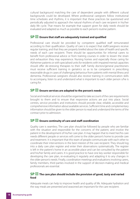cultural background matching the care of dependent people with different cultural backgrounds could be developed. Where professional caregivers follow institutional time schedules and rhythms, it is important that these practices be questioned and periodically adjusted to approach the natural rhythms of each care recipient in his/her daily life cycle. That means for example that support given for daily needs should be evaluated and adapted as much as possible to each person's routine pattern.

#### **SP**  $\mathbb{S}$  Ensure that staff are adequately trained and qualified

Professional care should be provided by competent qualified staff remunerated according to their qualification. Quality of care is to expect that staff/caregivers receive regular training, and that they are properly briefed about the state of health and specific needs of each care recipient. There should be opportunities for informal carers to benefit from professional advice or from training courses in order to lessen the strain and exhaustion they may experience. Nursing homes and especially those caring for Alzheimer patients or with specialised units for residents with impaired mental capacities should offer de-stressing therapies to their staff. Family doctors/general practitioners must receive sufficient training in geriatrics so as to be competent in prescribing reasonable drugs in cases of challenging behaviour from patients with mental illness and dementia. Professional caregivers should also receive training in communication skills to accompany, listen to and understand what is important to each older person s/he is caring for.

#### **SP**▧ **Ensure services are adapted to the person's needs**

Social and medical services should be organised to take account of the care requirements brought to them and to ensure that responsive actions are put into place. Social centres, service providers and institutions should provide clear, reliable, accessible and comprehensive information about available services. Sufficient time and complementary information should be given to the older person to read and understand the terms of the contract prior to admission.

#### **SP**▧ **Ensure continuity of care and staff coordination**

Quality care is seamless. The care plan should be followed by people who are familiar with the situation and responsible for the concerns of the patient, and involve the patient in the development of his/her care plan. It may happen that to meet her/his care needs different people or services will come to the older person's home to provide care and treatment. It is important that this team of people communicate with each other to coordinate their interventions in the best interest of the care recipient. They should log into a daily care plan register and enter their observations systematically. The register is left in the patient's home in an accessible place and can be consulted by the patient and his/her family and carers. It is good practice to have one key worker responsible for developing the care plan, re-evaluating it regularly and adapting it to any changes in the older person's needs. Finally, coordination meetings and evaluations involving carers, family members, third parties involved in the support of decision-making and medical professionals are essential.

#### **SP**▧ **The care plan should include the provision of good, tasty and varied food**

Adequate meals can help to improve health and quality of life. Adequate hydration and the way meals are presented and seasoned are important for the care recipient.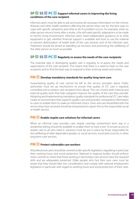#### **SP**▧**SS**▧**PC**▧ **Support informal carers in improving the living conditions of the care recipient**

Informal carers must be able to ask and receive all necessary information on the chronic diseases and other health problems affecting the person they care for, the best ways to cope with specific symptoms and what to do if a problem occurs. For example, when an older person returns home after a stroke, s/he will need specific adaptations to be made to her/his living environment. Informal carers need independent guidance as to what equipment to get, whether financial support is available and how to use the material to prevent deterioration of health both of the care receiver and of the informal carer. Treatment should be aimed at speeding up recovery and promoting the wellbeing of the older person as much as possible.

# **SP**▧**SS**▧**PC**▧ **Regularly re-assess the needs of the care recipients**

The essential step in developing quality care is regularly to re-assess the needs and expectations of the care recipient. This means that there is a need to listen to the care recipients and to find the best way to respond to their evolving needs and wishes.

#### **PM**▧ **Develop mandatory standards for quality long-term care**

Guaranteeing quality of care cannot be left to the service providers alone. Public authorities must set up mechanisms to ensure that quality of LTC care is regularly controlled and to protect care recipients from abuse. This can involve both internal and external quality tools that help caregivers improve the quality of the care they provide. Adopting and implementing mandatory quality standards for professional LTC care helps create an environment that supports quality care and provides comparative information to users to enable them to make an informed choice. Users who are dissatisfied with the service they have received should be empowered to report this to the responsible social or health service.

#### **PM**▧ **Enable respite care solutions for informal carers**

When an informal carer provides care, respite care/day centre/short term stay in a residential setting should be available to enable them to have a rest. To ensure access to respite care to all who need it, solutions must be put in place by those responsible for the wellbeing of older dependent people, i.e. social services, municipal councils, or other long-term care services.

#### **PM**▧ **Protect vulnerable care workers**

All professional carers should be covered under specific legislation, regulating in particular their working hours and social protection. National or regional bodies should enforce more controls to check that those working in domiciliary care services have the required skills and are adequately protected. Older people who hire their own carer must be aware that they should take into consideration and comply with national employment legislation in particular with regard to working hours and social protection of their carer.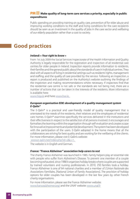#### **PM**▧ **Make quality of long-term care services a priority, especially in public expenditures**

Public spending on providing training on quality care, prevention of for elder abuse and improving working conditions to the staff and living conditions for the care recipients should be seen as an investment in the quality of jobs in the care sector and wellbeing of our elderly population rather than a cost to society.

# █**Good practices**

#### *Ireland: « Your right to know »*

From 1st July 2009 the Social Services Inspectorate of the Health Information and Quality Authority is legally responsible for the registration and inspection of all residential care centres for older people in Ireland. Inspection reports provide information to residents, their families and the general public about the standards of care in individual centres. They deal with all aspects of living in residential settings such as residents' rights, management and staffing, and the quality of care provided by the service. Following an inspection, a report is produced and published on the Authority's website outlining the findings of the inspection and making recommendations where necessary. If inspectors find that the residential care centre is not safe or the standards are not being met, there are a number of actions that can be taken in the interests of the residents. More information is available here:

www.hiqa.ie and here: www.hse.ie.

#### *European organisation EDE: development of a quality management system E-Qalin®*

The E-Qalin® is a practical and user-friendly model of quality management that is orientated to the needs of the residents, their relatives and the employees of residential care homes. E-Qalin® examines specifically the services delivered in the institutions and their effectiveness in respect to the satisfaction of all persons involved. It encourages and formalises the learning within the organisation through self-evaluation and creates scope for innovative improvements and potential development. The system has been developed with the participation of the users. E-Qalin adopted in the home means that all the collaborators are striving for best quality and are working for the wellbeing of the clients. For more information, please visit E-Qalin's website:

www.e-qalin.net/index.php?id=2&L=1.

The website is in English and German.

#### *France: "France Alzheimer" association help carers to rest*

The charity France Alzheimer was launched in 1985. Family helpers play an essential role with people who suffer from Alzheimer's Disease. To prevent one member of a couple becoming exhausted, since 1988 it organises holiday breaks where couples are supported by trained volunteers and nursing professionals. In 2010, 250 families took a holiday. France Alzheimer is one of 64 national charities and a member of L'Union Nationale des Associations Familiales, [National Union of Family Associations]. The provision of holiday options for older couples has been developed in the last few years by other French charity organisations.

For more information, please see the France Alzheimer website: www.francealzheimer.org/ and the UNAF website: www.unaf.fr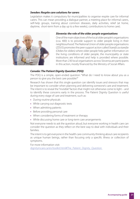#### *Sweden: Respite care solutions for carers*

Legislation makes it compulsory for municipalities to organise respite care for informal carers. This can mean providing a dialogue partner, a meeting place for informal carers, self-help groups, training about common diseases, daily activities, relief (at home, daytime, short-term from a day up to a few weeks), contributions to home care).



#### *Slovenia: the role of the older people organisations*

One of the main objectives of the local older people's organisations (cca. 400) is to provide support to older people living in their neighbourhood. The National Union of older people organisations (ZDUS) promotes the peer support action called Starejši za starejše (Oldies for oldies) where older people help gather information on the living conditions of older people, the municipality or state institutions are informed and help is provided where possible. More than 230 local organisations across Slovenia are participants in this action, mostly financed by the Ministry of Social Affairs.

#### *Canada: The Patient Dignity Question (PDQ)*

The PDQ is a simple, open-ended question: "What do I need to know about you as a person to give you the best care possible?"

Research has shown that this single question can identify issues and stressors that may be important to consider when planning and delivering someone's care and treatment. The intent is to reveal the "invisible" factors that might not otherwise come to light – and to identify these concerns early in the process. The Patient Dignity Question is useful during every stage of care and treatment, such as:

- During routine physicals
- While carrying out diagnostic tests
- When admitting patients
- Before providing personal care
- When considering forms of treatment or therapy
- While discussing home care or long-term care arrangements

Not everyone needs to ask the question aloud, but everyone working in health care can consider the question as they reflect on the best way to deal with individuals and their families.

The intent is to get everyone in the health care community thinking about care recipients as unique human beings, rather than focusing only a specific illness or collection of symptoms.

For more information visit: dignityincare.ca/en/toolkit.html#The\_Patient\_Dignity\_Question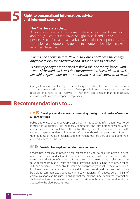# █**5 Right to personalised information, advice and informed consent**

#### **The Charter states that…**

As you grow older and may come to depend on others for support and care you continue to have the right to seek and receive personalised information and advice about all of the options available to you for care, support and treatment in order to be able to make informed decisions.

"I wish I had known before. Now it's too late. I don't have the energy anymore to look for alternative and I have no one to help me."

"I can't cope anymore and need to find a solution for my father (with severe Alzheimer) but I can't find the information I need about what is available. I spent hours on the phone and I still don't know what to do."

Giving information is not a simple process. It requires certain skills from the professionals and sometimes needs to be repeated. Older people in need of care are not passive receivers and need to be involved in their own care decision-making processes, commensurate with their cognitive capacities.

# █**Recommendations to…**

#### **PM**▧ **Develop a legal framework protecting the rights and duties of users in all care settings**

Public authorities should develop clear guidelines as to what information need to be included in all contracts for residential, community and care homes services. Model contracts should be available to the public through social services websites, health centres, hospitals, residential homes, etc. Contracts should be open to modifications upon request of the care recipient and information must be provided regarding more adapted services for the user.

#### **SP**▧ **Provide clear explanations to carers and users**

Service providers should provide clear leaflets and quides to help the person in need of care access and understand the information they need. When technical or medical terms are used in front of the care recipient, they should be explained in plain and easyto-understand language. Health and care professionals need training in communication skills and human rights to be able to inform patients properly about their health condition. If migrant carers have communications difficulties they should be given training to be able to communicate adequately with care recipients. If needed, other means of communication can be used to ensure that the patient understands the information such as drawings or videos. All these communication tools have to be user-friendly, i.e. adapted to the older person's needs.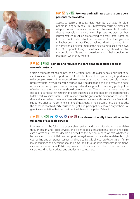

#### **PM**▧**SP**▧ **Promote and facilitate access to one's own personal medical data**

Access to personal medical data must be facilitated for older people in long-term care. This information must be clear and adapted to each national/local context. For example, if medical data is available on a card with chip, care recipient or their representatives must be empowered to access data stored on the card. Doctors should not prevent anyone from having access to his/her personal data. If no digital record exists, patients living at home should be informed of the best ways to keep their own files. Older people living in residential settings should be able to consult their file and ask questions about their condition or treatment when they wish to.

## **PM**▧**SP**▧ **Promote and regulate the participation of older people in research projects**

Carers need to be trained on how to deliver treatments to older people and what to be cautious about, how to report potential side effects, etc. This is particularly important as older people are sometimes exposed to over-prescription and may not be able to report problems themselves. Too few clinical trials involve older people and little research is done on side effects of polymedication on very old and frail people. This is why participation of older people in clinical trials should be encouraged. They should however never be obliged to participate in research projects but should be informed on the opportunities to take part in clinical trials. Full information must be given to the patient on the benefits, risks and alternatives to any treatment whose effectiveness and safety is not scientifically supported prior to the commencement of treatment. If the person is not able to decide, the consent of a third party must be sought, and participation allowed only if there is a genuine expectation that the treatment will benefit the patient's health.

## **PM**▧**SP**▧**PC**▧**SS**▧**OP**▧ **Provide user-friendly information on the full range of available services**

Information on the full range of available services and their price should be available through health and social services, and older people's organisations. Health and social care professionals cannot decide on behalf of the person in need of care whether s/ he can afford it or not. Help and support on legal issues must also be available through counselling and assistance, services and guides. Details of legal professionals on family law, inheritance and pensions should be available through residential care, institutional care and social services. Public helplines should be available to help older people and carers regarding legal advice and entitlement to legal aid.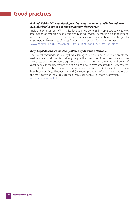# █**Good practices**

#### *Finland: Helsinki City has developed clear easy-to- understand information on available health and social care services for older people*

"Help at home Services offer" is a leaflet published by Helsinki Home care services with information on available health care and nursing services, domestic help, mobility and other wellbeing services. The leaflet also provides information about fees charged to customers with examples of prices for combined services. For more information: www.hel.fi /hki/helsinki/en/Services/Families+and+social+services/The+elderly

#### *Italy: Legal Assistance for Elderly off ered by Anziano e Non Solo*

The project was funded in 2006 by Emilia Romagna Region, under a fund to promote the wellbeing and quality of life of elderly people. The objectives of the project were to raise awareness and prevent abuse against older people. It covered the rights and duties of older people in the city, savings and banks, and how to have access to the justice system. The objective was also to provide information and orientation with the creation of a data base based on FAQs (Frequently Asked Questions) providing information and advice on the most common legal issues related with older people. For more information: www.anzianienonsolo.it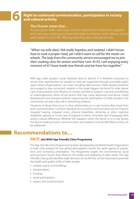## **Right to continued communication, participation in society and cultural activity**

#### **The Charter states that…**

█**6** 

As you grow older and may come to depend on others for support and care you continue to have the right to interact with others, and to participate in civic life, lifelong learning and cultural activity.

"When my wife died, I felt really hopeless and isolated. I didn't know how to cook a proper meal, yet I didn't want to call for the meals-onwheels. The lady from the community service encouraged me to join their cooking class for seniors and here I am. At 93, I am enjoying every moment of it! I have made new friends and we have fun together."

With age, older people's social networks tend to decline. It is therefore important to ensure that opportunities for people to meet are supported through accessible public space where all generations can meet, including older persons. Older people should be encouraged to stay connected: isolation is the single biggest risk factor for elder abuse. Lack of participation and influence in society can lead to isolation, inactivity and feelings of meaninglessness which all are factors that may cause depression and abuse. Urban development and transport policies supporting the participation of older people in the community can play a key role in preventing isolation.

Situations of abuse that occur in close relationships or in care homes often result from poor communication. Common obstacles to successful communication are, for instance, impaired hearing, impaired vision, physical disabilities, dementia or other cognitive disabilities, aphasia or, in the case of migrants or ethnic minorities, lack of language skills, and/or cultural differences. Whether this happens within the family or in a care facility, the factors leading to poor communication and isolation must be identified so they can be addressed.

# █**Recommendations to…**

#### **PM**▧ **Join WHO Age Friendly Cities Programme**

The Age-friendly Cities Programme has been developed by the World Health Organisation to help cities prepare for two global demographic trends: the rapid ageing of populations and increasing urbanisation. The Programme targets the environmental, social and economic factors that influence the health and wellbeing of older adults. The Age Friendly Cities guide identifies eight domains of city life that can be improved to promote the health and quality of life of older people:

- outdoor spaces and buildings;
- transportation;
- housing;
- social participation;
- respect and social inclusion;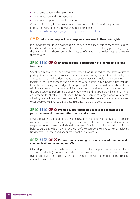- civic participation and employment;
- communication and information; and
- community support and health services.

Cities participating in the Network commit to a cycle of continually assessing and improving their age-friendliness. For more information:

http://www.who.int/ageing/age\_friendly\_cities/en/index.html

## **PM**▧ **Inform and support care recipients on access to their civic rights**

It is important that municipalities as well as health and social care services, families and friends provide information, support and advice to dependent elderly people regarding their civic rights. It should be public policy to offer support to older people to enable them to vote.

### **SP**▧**SS**▧**OP**▧ **Encourage social participation of older people in longterm care**

Social needs should be prioritised even when time is limited for the staff . Voluntary participation in clubs and associations and creative, social, economic, artistic, religious and cultural, as well as democratic and political activity should be encouraged and facilitated including those taking place in the wider community. Opportunities include, for instance, sharing knowledge of, and participation in, household or handicraft tasks within care settings, communal activities, celebrations and functions, as well as having the opportunity to perform paid or voluntary work and to take part in lifelong learning and other cultural activities. Attention should be given to the organisation of services, allowing care recipients to share meals with other residents or visitors. At the same time, older people's wish not to participate in events should also be respected.

#### **SP**▧**SS**▧**OP**▧ **Provide support to people to respond to their social participation and communication needs and wishes**

Service providers and older people's organisations should provide assistance to enable older people with reduced mobility take part in social activities. If needed, assistance to get outdoors or take a walk should be offered. People should be helped to maintain balance or stability while walking (by the use of a walker frame, walking stick or wheelchair, transportation services and adequate incontinence materials).

## **SP**▧**SS**▧**OP**▧ **Promote and encourage access to new information and communications technologies (ICTs)**

Older dependent persons who wish to should be offered support to use new ICT tools and technical aids (computers, mobile phones, hearing and writing aids, audio books, dvd- or cd-players and digital TV) as these can help a lot with communication and social interaction with others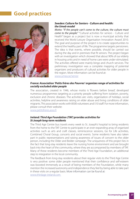# █**Good practices**



#### *Sweden: Culture for Seniors - Culture and health: the Umeå-model*

Motto: "If the people can't come to the culture, the culture must come to the people." "Cultural activities for seniors - Culture and Health" began as a project but is now a municipal activity that received the World Leisure Organisation Innovation Award 2010. The goal and purpose of the project is to create opportunities to extend the healthy part of life. The programme targets pensioners. The idea is that events, where possible, should be carried out during the day and in premises that fit seniors. The project began with an investigation which showed that about 90% of our elderly in housing units and in need of home care were under-stimulated. The activities offered were mainly bingo and church services. The preliminary investigation was a complete mapping of potential organizers and producers of cultural activities for older people in the region. More information can be found at: www.umea.se/senior

#### *France: Association 'Petits frères des Pauvres' organizes range of activities for socially excluded older people*

The association, created in 1946, whose motto is 'flowers before bread', developed numerous programmes targeting as a priority people suffering from isolation, poverty, exclusion and chronic diseases. The activities are: visits, organisation of holidays, social activities, helpline and awareness raising on elder abuse and living conditions of older migrants. This association works with 8500 volunteers and 510 staff . For more information, please consult their website:

www.petitsfreres.asso.fr

#### *Ireland: Third Age Foundation (TAF) provides activities for St Joseph long-term residents*

The Third Age Centre bus travels every week to St. Joseph's hospital to bring residents from the home to the TAF Centre to participate in an ever-expanding array of organised activities such as arts and craft classes, reminiscence sessions, Go for Life activities, Combined Choral Group, concerts and social events. Some residents have also taken part in public representations and raising awareness of issues of concern to the older person, including the Older and Bolder campaign. The uniqueness of this project lies in the fact that long-stay residents leave the nursing home environment and are brought back into the heart of the community, where they are accompanied by members of TAF. Many of these residents become members of the Third Age Foundation, an additional step to integration in the local community.

The feedback from long-stay residents about their regular visits to the Third Age Centre is very positive: some older people mentioned that their confidence and self-esteem was boosted immensely as a result of being members of the Foundation, while many mention the increased autonomy and independence they feel by being able to take part in these visits on a regular basis. More information can be found at: www.thirdage-ireland.com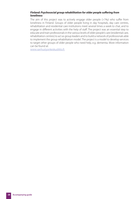#### **Finland: Psychosocial group rehabilitation for older people suffering from** *loneliness*

The aim of this project was to actively engage older people  $($ >74y) who suffer from loneliness in Finland. Groups of older people living in day hospitals, day care centres, rehabilitation and residential care institutions meet several times a week to chat, and to engage in different activities with the help of staff. The project was an essential step to educate and train professionals in the various levels of older people's care (residential care, rehabilitation centres) to act as group leaders and to build a network of professionals able to implement the group rehabilitation model. The project is a model to develop services to target other groups of older people who need help, e.g. dementia. More information can be found at:

www.vanhustyonkeskusliitto.fi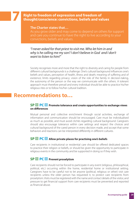## **Right to freedom of expression and freedom of thought/conscience: convictions, beliefs and values**

#### **The Charter states that…**

█**7**

As you grow older and may come to depend on others for support and care you continue to have the right to live according to your convictions, beliefs and values.

### "I never asked for that priest to visit me. Who let him in and why is he calling me my son? I don't believe in God and I don't want to listen to him!"

Society recognises more and more that the right to diversity and caring for people from different cultural backgrounds is a challenge. One's cultural background influences one's beliefs and values, perception of health, illness and death; meaning of suffering and of existence; limits regarding privacy; vision of the role of the family in decision-taking, the autonomy of the person or the way we communicate with the others. A tolerant approach must therefore prevail and every individual should be able to practice his/her religious rites or to follow his/her cultural tradition.

# █**Recommendations to…**

#### **SP**▧**PC**▧ **Promote tolerance and create opportunities to exchange views on differences**

Mutual personal and collective enrichment through social activities, exchange of information and communication should be encouraged. Care must be individualised as much as possible, and must avoid clichés regarding cultural background. Caregivers should also encourage tolerance within care settings and respect the choices and cultural background of the cared person in every decision made, and accept that some behaviors and reactions can be interpreted differently in different cultures.

#### **SP**▧**PC**▧ **Allow private places for practising one's beliefs**

Care recipients in institutional or residential care should be offered dedicated spaces to practice their religion or beliefs, or should be given the opportunity to participate in religious events in the community and be supported in doing so if they wish.

### **SP**▧**PC**▧ **Prevent proselytism**

Care recipients should not be forced to participate in any event (religious, philosophical, political, etc.) occurring within the home, residential home or institutional setting. Caregivers have to be careful not to let anyone (political, religious or other) visit care recipients unless the older person has requested it, to protect care recipients from proselytism. Visits must be registered with the name and contact details of the visitor, and pressure to get financial support from care recipients must be prevented and reported as financial abuse.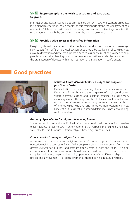#### **SP**▧ **Support people in their wish to associate and participate to groups**

Information and assistance should be provided to a person in care who wants to associate. Institutional care settings should enable the care recipients to attend the weekly meetings of a "seniors' club" and to participate in the outings and excursions. Keeping contacts with organisations of which the person was a member should be encouraged.

#### **SP**<sup>®</sup> Provide a wide access to diversified information

Everybody should have access to the media and to all other sources of knowledge. Newspapers from different political backgrounds should be available in all care settings, as well as television and internet support. If needed, assistance must be provided to help people with impaired hearing or vision. Access to information can also be promoted by the organisation of debates within the institution or participation in conferences.

# █**Good practices**



#### *Slovenia: Informal round tables on usages and religious practices at Easter*

Daily activities centres are meeting places where all are welcomed. During the Easter festivities they organise informal round tables where different usages and religious practices are discussed, including a more atheist approach with the explanation of the role of spring festivities and rites in many centuries before the rising of monotheistic religions, and in other, non-western cultures. Different cultures meet also around different cuisines, encouraging multiculturalism.

#### *Germany: Special units for migrants in nursing homes*

Some nursing homes and specific institutions have developed special units to enable older migrants to receive care in an environment that respects their cultural and social way of life (special furniture, nutrition, religion-based day structure etc.)

#### *France: special training on religion for carers*

A module on "Ceremonies and religious practices" is now proposed in many further education training courses in France. Older people receiving care are coming from more diverse cultural backgrounds and staff are often unfamiliar with their faiths. It is also recommended that every institution should have an easily accessible space reserved for quiet meditation, prayer and worship, open to visitors of the different religions and philosophical movements. Religious ceremonies should be held in mutual respect.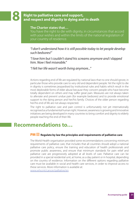# █**8 Right to palliative care and support, and respect and dignity in dying and in death**

### **The Charter states that…**

You have the right to die with dignity, in circumstances that accord with your wishes and within the limits of the national legislation of your country of residence.

"I don't understand how it is still possible today to let people develop such bedsores!"

"I love him but I couldn't stand his screams anymore and I slapped him. Now I feel miserable."

"I felt her life wasn't worth living anymore..."

Actions regarding end of life are regulated by national laws that no one should ignore, in particular those who provide care to very old and dependent people. Yet the right to die in dignity is sometimes jeopardised by institutional rules and habits which result in the most deplorable forms of elder abuse because they concern people who have become totally dependent on others and may suffer great pain. Measures are not always taken to alleviate and prevent undue pain (for example bedsores) and to provide emotional support to the dying person and her/his family. Choices of the older person regarding her/his end of life are not always respected.

The right to palliative care and pain control is unfortunately not yet internationally recognised as a fundamental human right. However, awareness is growing and innovative initiatives are being developed in many countries to bring comfort and dignity to elderly people reaching the end of their life.

# █**Recommendations to…**

#### **PM**▧ **Regulate by law the principles and requirements of palliative care**

The World Health organisation provided some recommendations concerning minimum requirements of palliative care, that includes that all countries should adopt a national palliative care policy, ensure the training and education of health professionals and promote public awareness, and ensure that minimum standards for pain relief and palliative care are progressively adopted at all levels of care. Palliative care can be provided in a special residential unit, at home, as a day patient or in hospital, depending on the country of residence. Information on the different options regarding palliative care must be available in social and health care services, in order to improve access to these services. More information is available at: www.who.int/cancer/palliative/en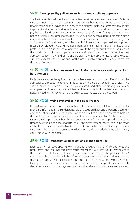## **SP**▧ **Develop quality palliative care in an interdisciplinary approach**

The best possible quality of life for the patient must be found and developed. Palliative care seeks neither to hasten death nor to postpone it but rather to control pain and help people reaching the end of life die in peace and dignity. Quality palliative care should aim to prevent and reduce suffering, with treatment of pain and other distressing symptoms, psychological and spiritual care, to improve quality of life when facing serious complex health problems. Assessment of the quality can be done by measuring whether the care is adapted to the needs and wishes of the care recipient (communication needs, religious/ spiritual/cultural/social needs, etc.). An interdisciplinary and multiprofessional approach must be developed, including members from different healthcare and non-healthcare professions and discipline. Team members have to be highly qualified and should have their main focus of work in palliative care. Staff should be trained concerning their approach to facing the end of life and be given the appropriate means (psychological support, respect for the person and for the family, involvement of the family) to respect the person's choice.

## **SP**▧**PC**▧ **Involve the care recipient in the palliative care and support his/ her autonomy**

Palliative care must be guided by the patient's needs and wishes. Decision on the admissibility of medical treatment will be based on care recipient's expressed or presumed wishes (based on views s/he previously expressed) and after questioning relatives or other persons close to the care recipient and responsible for his or her care. The dying person's need for intimacy should also be respected, as, e.g., a single bedroom.

#### **SP**▧**PC**▧ **Involve the families in the palliative care**

Professionals must take more time to talk and listen to the care recipient and their family, providing information in an understandable language on diagnosis, prognosis, treatment and care options and all other aspects of care as well as on reliable access to help on the palliative care provided and on the different services available. Such information should only be provided when the person and/or the family are prepared to accept it. Respite care should be encouraged for carers and bereavement services should be made available to them after the death of the care recipient. In the absence of family members, caregivers who have been close to the older person can be included in a multidisciplinary consultation with the doctor.

# **SP**▧**PC**▧ **Respect national regulations on the end-of–life**

Each country has developed its own regulations regarding end-of-life decisions, and both formal and informal caregivers must respect the law. However if they object to the decision made for ethical or religious reasons, carers should be protected by a " conscience clause " and should be informed about the procedure to follow to ensure that the decision will still be respected and implemented as requested by the law. When feeling hopeless or overburdened in front of a care recipient in great pain or severely demented, carers should always seek advice and receive support from relevant sources.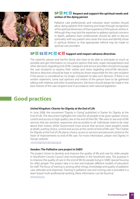

#### **SP**▧**PC**▧ **Respect and support the spiritual needs and wishes of the dying person**

Palliative care professionals and voluntary team workers should allow dying patients find meaning and hope through recognition of the spiritual dimension of their experience if the person wishes it. Although they may lack the expertise to address spiritual concerns in depth, palliative team professionals should be able to discuss spirituality with any patient who raises the issue and identify those in spiritual distress so that appropriate referral may be made to spiritual care providers.

## **SP**▧**SS**▧**PC**▧**IC**▧ **Support and respect advance directives**

The cared-for person and her/his family also have to be able to anticipate as much as possible and get information on insurance options that exist, organ transplantation and other decisions regarding end of life. Caregivers and service providers should encourage the care recipients to express their wishes and views regarding end-of-life decisions. Advance directives should be kept in writing by those responsible for the care recipient if the person is considered as no longer competent to take such decision. If there is no written statement, some oral opinions and wishes of the person have to be gathered talking with relatives and other trusted persons. Decisions should always be made in the best interest of the care recipient and in accordance with national legislation.

# █**Good practices**

#### *United Kingdom: Charter for Dignity at the End of Life*

In June 2008, the movement "Dignity in Dying" published a Charter for Dignity at the End of Life. The document highlights the need for all people to be given greater choice, control and access to high quality care at the end of their life. "We want to see end-of-life services that are sensitive, responsive and accessible to all. Individuals need to be clear about their wishes, whilst Government must ensure that services meet people's needs at death, putting choice, control and access at the centre of end-of-life care". The Charter for Dignity at the End of Life places choice, access to services and personal control at the heart of improvements to end-of-life care. For more information, please visit Dignity in Dying's website:

www.dignityindying.org.uk

#### *Sweden: The Palliative care project in SABO*

The project strives to develop and improve the quality of life and care for older people in Stockholm County Council and municipalities in the Stockholm area. The purpose is to improve the quality of care in the end of life for people living in SABO special housing for older people. The project idea is to test and evaluate different models of education for staff . The focus of training is, among other things, knowledge and quality of palliative care, attitudes and responses. Training in palliative care and nursing care is provided in a team based multi-professional working. More information can be found at: www.pvis.se.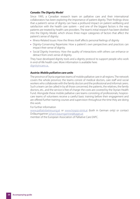#### *Canada: The Dignity Model*

Since 1995, a Canadian research team on palliative care and their international collaborators has been exploring the importance of patient dignity. Their findings show that a patient's sense of dignity can have a profound impact on patient wellbeing and satisfaction with the health care system – and one of the biggest factors is the way patients are treated by health care providers. The team's initial research has been distilled into the Dignity Model, which shows three major categories of factors that affect the patient's sense of dignity:

- Illness-Related Issues: How the illness itself affects personal feelings of dignity
- Dignity-Conserving Repertoire: How a patient's own perspectives and practices can impact their sense of dignity.
- Social Dignity Inventory: How the quality of interactions with others can enhance or detract from one's sense of dignity.

They have developed dignity tools and a dignity protocol to support people who work in end-of-life health care. More information is available here: dignityincare.ca.

#### *Austria: Mobile palliative care units*

The province of Styria organises teams of mobile palliative care in all regions. The network covers the whole province; the teams consist of medical doctors, care staff and social workers who collaborate with the family doctors and the professional and informal carers. Such a team can be called in by all those concerned, the patients, the relatives, the family doctors, etc., and the service is free of charge: the costs are covered by the Styrian Health Fund. Alongside these mobile palliative care teams consisting of professionals, hospicecare teams of volunteers receive a careful basic training before their engagement and are offered further training courses and supervision throughout the time they are doing this work.

#### For further information

www.palliativbetreuung.at or www.hospiz-stmk.at (both in German only) or contact Dr.Baumgartner johann.baumgartner@kages.at

member of the European Association of Palliative Care EAPC.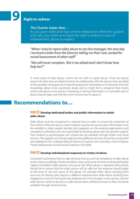# █**9 Right to redress**

#### **The Charter states that…**

As you grow older and may come to depend on others for support and care, you continue to have the right to redress in case of mistreatment, abuse or neglect

"When I tried to report elder abuse to my line manager, the next day I received a letter from the Director telling me that I was sacked for moral harassment of other staff."

"She will never complain. She is too afraid and I don't know how help her?"

In most cases of elder abuse, victims do not wish to report abuse. There are several reasons for that: they are afraid of losing the relationship with the abuser, they are afraid of the possible consequences of reporting abuse for themselves or loved ones, they lack knowledge about what constitutes abuse and so might fail to recognise that certain actions are abuse. Every person witnessing or having information on a possible case of abuse should make sure that the victim knows how to report it.

# █**Recommendations to…**

#### **PM**▧ **Develop dedicated bodies and public information to tackle elder abuse**

Elder abuse must be recognised in national laws in order to ensure the protection of the victims. A free and easy to reach helpline must be set up and clear information must be available to older people, families and caregivers on the existing organisations and competent authorities who are responsible for tackling abuse and can provide support. Free medical or psychological care should also be available through health and social services. The support and care brought by these different services should be coordinated and adapted to the understanding of trauma of a person who has been victim of abuse. These professionals should receive training in this field.

#### **PM**▧ **Develop individualised responses to victims of abuse**

Competent authorities have to take seriously into account all complaints of elder abuse and to react accordingly. Family members, carers, and social services must be particularly vigilant and detect older persons who are at risk. When abuse is reported, their priority should be to ensure that the older person will be safe but the response should adapt to the level of risk and nature of the abuse. For example elder abuse resulting from burn-out of a family carer requires a different response from elder abuse resulting from negligence or lack of training of care professionals. If the situation is very serious and the older person needs to be put in a safe environment, sheltered houses or flats should be available through social services.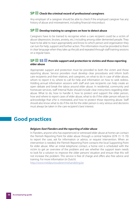### **SP**▧ **Check the criminal record of professional caregivers**

Any employer of a caregiver should be able to check if the employed caregiver has any history of abuse and mistreatment, including financial misconduct.

#### **SP**▧ **Develop training to caregivers on how to detect abuse**

Caregivers have to be trained to recognise when a care recipient could be a victim of abuse (depression, bruises, anxiety, etc.) including among older demented people. They have to be able to react appropriately and know to which person and organisation they can turn for help, support and further action. This information must be provided to them in clear language when they take up the job and repeated through staff training sessions on a regular basis.

#### **SP**▧**SS**▧ **Provide support and protection to victims and those reporting elder abuse**

Appropriate support and protection must be provided to both the victim and those reporting abuse. Service providers must develop clear procedures and inform both care recipients and their relatives, and caregivers, on what to do in case of elder abuse, whom to report it to, where to call for help and information on how to seek redress. Holding annual information sessions with staff and care recipients can help create an open debate and break the taboo around elder abuse. In residential, community and homecare services, staff Internal Rules should include clear instructions regarding elder abuse. What to do, how to handle it, how to protect and support the older person, how and where to report cases of elder abuse, what to do if the older person refuses to acknowledge that s/he is mistreated, and how to protect those reporting abuse. Staff should also know what to do if the risk for the older person is very serious and decisions must always be taken in the care recipient's best interest.

# █**Good practices**

#### *Belgium: East Flanders and the reporting of elder abuse*

In Flanders, anyone who has experienced or witnessed elder abuse at home can contact the Flemish Reporting Point for elder abuse through a central helpline (078 15 15 70) to report the case, ask for information or advice, or request intervention. When an intervention is needed, the Flemish Reporting Point contacts the local Supporting Point for elder abuse. After an initial telephone contact, a home visit is scheduled with the victim to get an overview of the problem and see whether the support team needs to look for a solution to improve the older persons' situation and ensure that this will not increase the problem. This service is free of charge and offers also free advice and training. For more information (in Dutch)

http://www.meldpuntouderenmishandeling.be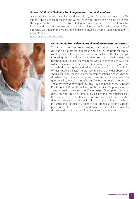#### *France: "Call 3977" helpline for older people victims of elder abuse.*

A very similar initiative was launched recently by the French government to offer support and guidance to victims and witnesses of elder abuse. This helpline is run with the support ALMA France (set up by Prof. Hugonot who was president of the Council of Europe working group on violence and neglect of older persons in the family) and AFBAH (French association for the wellbeing of older and disabled people). More information is available here:

www.travail-solidarite.gouv.fr.



#### *Netherlands: Protocol to report elder abuse for external visitors*

The Dutch province Noord-Holland has taken the initiative of developing a protocol to combat elder abuse. The protocol can be used by external people who come in contact with older people in nursing homes and care institutions, such as the hairdresser, the neighbourhood nurse, the volunteer who brings meals or pays the older person a frequent visit. The protocol is designed to give them a method to recognise and address elder abuse within the limits of their responsibilities. The protocol lists signs of elder abuse they should learn to recognise and recommendations about what to do when they suspect elder abuse. These steps include answers to questions like 'who do I notify?' and 'who is responsible for what?' The protocol was developed by PRIMO NH on behalf of the Support Points against Domestic Violence of the province. Support Services also exist on the Municipal level. There are specific support points that deal with elder abuse in some municipalities. In other municipalities there are support points that are concerned with the broader field of domestic violence, and therewith also elder abuse. Someone who is in a situation of abuse or a witness of elder abuse can call this support point and ask for help. The support point will then tell them what to do next and how to get help from social and legal services.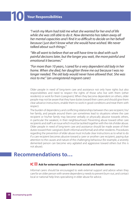"I wish my Mum had told me what she wanted for her end of life while she was still able to do it. Now dementia has taken away all her mental capacities and I find it so difficult to decide on her behalf because I just don't know what she would have wished. We never talked about such things."

"We all want to believe that we will have time to deal with such painful decisons later, but the longer you wait, the more painful and emotional it becomes."

"For more than 10 years, I cared for a very dependent old lady in her home. When she died, her daughter threw me out because I was no longer needed. The old lady would never have allowed that. She was nice to me." (an unregistered migrant carer)

Older people in need of long-term care and assistance not only have rights but also responsibilities and need to respect the rights of those who live with them (other residents) or work for them (caregivers). When they become dependent on others, older people may not be aware that they have duties toward their carers and should give them clear advance instructions, enable them to work in good conditions and treat them with respect.

The burden of dependency and conflicting relationships between the care recipient, his/ her family, and people around them can sometimes lead to situations where the care recipient or his/her family may become verbally or physically abusive towards others, in particular the weakest, in their neighbourhood. Preventing abuse toward other care recipients and staff is an issue which must be tackled together with the risk of elder abuse. Older people in need of long-term care and assistance should be made aware of their duties toward their caregivers (both informal and formal) and other residents. Procedures regarding the prevention of elder abuse must include clear instructions as to what to do if a care recipient becomes abusive toward a carer or another care recipient, paying due attention to the causes and nature of the challenging behaviour (for example, a severely demented person can become very agitated and aggressive toward others but this is not abuse).

# █**Recommendations to…**

## **IC**▧ **Ask for external support from local social and health services**

Informal carers should be encouraged to seek external support and advice when they care for an older person with severe dependency needs to prevent burn-out, and contact local or national help lines specialising in elder abuse for advice.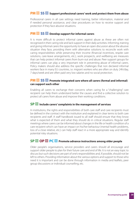## **PM**▧**SS**▧ **Support professional carers' work and protect them from abuse**

Professional carers in all care settings need training, better information, material and if needed personal assistance, and clear procedures on how to receive support and protection if they face abusive situations.

## **PM**▧**SS**▧ **Develop support for informal carers**

It is more difficult to protect informal carers against abuse as these are often not recognised in their caring role and lack support in their daily activities. Informing, training and giving informal carers the opportunity to have an open discussion about the abusive situation they face, providing them with alternative solutions to reconcile work with caring responsibilities while preserving their income (financial incentives, respite care solutions, care-leave arrangements, etc.), work prospects, and wellbeing are measures that can help protect informal carers from burn-out and abuse. Peer support groups for informal carers can play a very important role in preventing abuse of informal carers. Policy makers should also address the specific challenges that non declared informal workers face in many EU countries, i.e. migrant workers who are often on duty 24h/day, 7 days/week and are often paid very low salaries and no social protection.

#### **PM**▧**SS**▧ **Promote integrated care where all carers (formal and informal) can support each other**

Enabling all carers to exchange their concerns when caring for a "challenging" care recipient can help them understand better the causes and find a collective solution to protect all carers from abuse and improve their working conditions.

#### **SP**▧ **Include carers' complaints in the management of services**

In institutions, the rights and responsibilities of both care staff and care recipients must be defined in the contract with the institution and explained in clear terms to both care recipients and staff . A staff handbook issued to all staff should ensure that they know what is expected of them and what they should do in critical situations. Regular staff meetings where carers can be informed about changes in the life or health condition of a care recipient which can have an impact on his/her behaviour (mental health problems, loss of a close relative, etc.) can help staff react in a more appropriate way and identify potential risky situations.

# **SP**▧**OP**▧**PC**▧ **Promote advance instructions among older people**

Older people's organisations, service providers and carers should all encourage and support older people to plan for their future care and end of life. It is not an easy topic to discuss but such decisions are part of one's responsibilities and, if possible, should not be left to others. Providing information about the various options and support to those who need it is important and can be done through information in media and leaflets, peer group discussions or individual counselling, etc.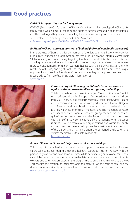# █**Good practices**

#### *COFACE European Charter for family carers*

COFACE (European Confederation of Family Organisations) has developed a Charter for family carers which aims to recognise the rights of family carers and highlight their role and the challenges they face in reconciling their personal, family and / or work life. To download the Charter, please visit COFACE's website:

coface-eu.org/en/upload/WG%20HANDICAP/CharteCOFACEHandicapEN.pdf

#### *EAPN Italy: Clubs to prevent burn-out of badanti (informal non family caregivers)*

In the province of Sienna, the Italian member of the European Anti Povery Network "Un Euro all'Ora" launched a programme to prevent burn-out among informal carers. Their "clubs for caregivers" were mainly targeting families who undertake the complex task of assisting dependent elderly at home and who often hire, on the private market, one or more caregivers, mostly immigrant women that live with the elderly and assist them for most time of the day and night. For these "badanti" (carers), the Clubs represent a unique opportunity to meet in a friendly environment where they can express their needs and receive advice from professionals. More information at: www.cilap.eu.



#### *European Project "Breaking the Taboo" - leaflet on Violence against older women in families: recognising and acting*

This brochure is a outcome of the project "Breaking the taboo", which was co-financed by the European Commission and was carried out from 2007-2009 by project partners from Austria, Finland, Italy, Poland and Germany in collaboration with partners from France, Belgium and Portugal. It aims at breaking the taboo around elder abuse by raising awareness among staff members and line managers of health and social service organisations and giving them some ideas and guidelines on how to deal with this issue. It should help them deal with these often very complex and difficult situations. When the taboo is broken - within teams, within organisations, and within the public - it becomes much easier to improve the situation of the victims and of the 'perpetrators' – who are often overburdened family carers and victims themselves. More information at: btt.roteskreuz.at

#### *France: "Vacances Ouvertes" help carers to take some holidays*

This non-profit organisation has developed a support programme to help informal carers take some rest during organised holidays. Carers can go on holiday with the person they care for and have some free time while participating professional carers take care of the dependent person. Informative leaflets have been developed to recruit social workers and carers to participate in the programme to enable informal to take a break. This enables the creation of social networks and activities on the issue of care, and the development of solidarity between volunteer professionnal carers and informal carers. www.vacances-ouvertes.asso.fr.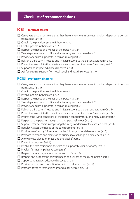# █ **Check list of recommendations**

#### **IC**▧ **Informal carers:**

- $\Box$  Caregivers should be aware that they have a key role in protecting older dependent persons from abuse (art.  $1$ )
- $\Box$  Check if the practices are the right ones (art. 1)
- $\Box$  Involve people in their care (art. 2)
- $\Box$  Respect the needs and wishes of the person (art. 2)
- $\Box$  Take steps to ensure mobility and autonomy are maintained (art. 2)
- $\Box$  Provide adequate support for decision-making (art. 2)
- $\Box$  Rely on a third party if needed and limit restrictions to the person's autonomy (art. 2)
- $\square$  Prevent intrusion into the private sphere and respect the person's modesty (art. 3)
- $\Box$  Support and respect advance directives (art. 8)
- $\Box$  Ask for external support from local social and health services (art.10)

#### **PC**▧ **Professional carers:**

- $\Box$  Caregivers should be aware that they have a key role in protecting older dependent persons from abuse (art.  $1$ )
- $\Box$  Check if the practices are the right ones (art. 1)
- $\Box$  Involve people in their care (art. 2)
- $\Box$  Respect the needs and wishes of the person (art. 2)
- $\Box$  Take steps to ensure mobility and autonomy are maintained (art. 2)
- $\Box$  Provide adequate support for decision-making (art. 2)
- $\Box$  Rely on a third party if needed and limit restrictions to the person's autonomy(art. 2)
- $\Box$  Prevent intrusion into the private sphere and respect the person's modesty (art. 3)
- $\Box$  Improve the living conditions of the person especially through timely support (art. 4)
- $\Box$  Respect of the person's background and personal needs (art. 4)
- $\Box$  Support informal carers in improving the living conditions of the care recipient (art. 4)
- $\Box$  Regularly assess the needs of the care recipients (art. 4)
- $\square$  Provide user-friendly information on the full range of available services (art.5)
- $\square$  Promote tolerance and create opportunities to exchange on differences (art. 7)
- $\Box$  Allow private places for practicing one's beliefs (art. 7)
- $\Box$  Prevent proselytism (art. 7)
- $\Box$  Involve the care recipient in the care and support his/her autonomy (art. 8)
- $\Box$  Involve families in palliative care (art. 8)
- $\Box$  Respect national regulations on the end of life (art. 8)
- $\Box$  Respect and support the spiritual needs and wishes of the dying person. (art. 8)
- $\Box$  Support and respect advance directives (art. 8)
- $\Box$  Provide support and protection to victims of elder abuse (art. 9)
- $\Box$  Promote advance instructions among older people (art. 10)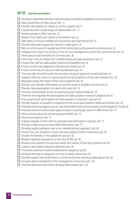# **SP**▧ **Service providers:**

- $\Box$  Develop a systematic process to prevent abuse and take complaints into account (art. 1)
- $\Box$  Raise awareness on elder abuse (art. 1)
- $\Box$  Provide information on where to call for support (art.1)
- $\Box$  Cooperate with a wide range of stakeholders (art. 1)
- $\Box$  Involve people in their care (art. 2)
- $\Box$  Respect the needs and wishes of the person (art. 2)
- $\Box$  Take steps to ensure mobility and autonomy are maintained (art. 2)
- $\Box$  Provide adequate support for decision-making (art. 2)
- $\Box$  Rely on a third party if needed and limit restrictions to the person's autonomy (art. 2)
- $\Box$  Integrate the respect for privacy in the service management and in the care contract (art. 3)
- $\Box$  Allow places and moments for intimacy (art. 3)
- $\Box$  Have clear rules on respect for confidentiality and data protection (art. 3)
- $\Box$  Ensure that staff are adequately trained and qualified (art. 4)
- $\square$  Ensure services are adapted to the person's needs (art. 4)
- $\Box$  Ensure continuity of care and staff coordination (art. 4)
- $\Box$  The care plan should include the provision of good, tasty and varied food (art. 4)
- $\Box$  Support informal carers in improving the living conditions of the care recipient (art. 4)
- $\Box$  Regularly assess the needs of the care recipients (art. 4)
- $\square$  Provide user-friendly information on the full range of available services (art.5)
- $\Box$  Provide clear explanations to carers and users (art. 5)
- $\square$  Promote and facilitate access to own's personal medical data (art. 5)
- $\square$  Promote and regulate the participation of older people in research projects (art.5)
- $\square$  Encourage social participation of older people in long-term care (art. 6)
- $\Box$  Provide support to people to respond to their social participation needs and wishes (art. 6)
- $\Box$  Promote and encourage access to new information and communications technologies (ICTs) (art. 6)
- $\Box$  Promote tolerance and create opportunities to exchange views on differences (art. 7)
- $\Box$  Allow private places for practicing one's beliefs (art. 7)
- $\Box$  Prevent proselytism (art. 7)
- $\Box$  Support people in their wish to associate and participate in groups (art. 7)
- $\Box$  Provide a wide access to diversified information (art. 7)
- $\Box$  Develop quality palliative care in an interdisciplinary approach (art. 8)
- $\Box$  Involve the care recipient in their care and support his/her autonomy (art. 8)
- $\Box$  Involve the families in the palliative care (art. 8)
- $\Box$  Respect national regulations on the end of life (art. 8)
- $\Box$  Respect and support the spiritual needs and wishes of the dying person (art. 8)
- $\Box$  Support and respect advance directives (art. 8)
- $\Box$  Check the criminal record of professional caregivers (art.9)
- $\Box$  Develop training to caregivers on how to detect abuse (art. 9)
- $\Box$  Provide support and protection to victims and those reporting elder abuse (art. 9)
- $\Box$  Include carers' complaints in the management of services (art. 10)
- $\Box$  Promote advance instructions among older people (art. 10)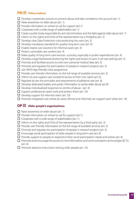## **PM**▧ **Policy makers:**

- $\Box$  Develop a systematic process to prevent abuse and take complaints into account (art. 1)
- $\Box$  Raise awareness on elder abuse (art. 1)
- $\Box$  Provide information on where to call for support (art.1)
- $\Box$  Cooperate with a wide range of stakeholders (art. 1)
- $\Box$  Create a public body responsible for anti-discrimination and the fight against elder abuse (art. 1)
- $\Box$  Inform on the rights and limits of the representation by a thirdparty (art. 2)
- $\Box$  Develop clear Data Protection rules protecting the users (art. 3)
- $\Box$  Develop mandatory standards for quality long-term care (art. 4)
- $\Box$  Enable respite care solutions for informal carers (art. 4)
- $\Box$  Protect vulnerable care workers (art. 4)
- $\Box$  Make quality of long-term care services a priority, especially in public expenditures (art. 4)
- $\Box$  Develop a legal framework protecting the rights and duties of users in all care settings (art. 5)
- $\square$  Promote and facilitate access to one's own personal medical data (art. 5)
- $\square$  Promote and regulate the participation of people in research projects (art. 5)
- $\Box$  Join WHO Age-friendly cities programme
- $\Box$  Provide user-friendly information on the full range of available services (art. 5)
- $\Box$  Inform on and support care recipients' access to their civic rights (art. 6)
- $\Box$  Regulate by law the principles and requirements of palliative care (art. 8)
- $\Box$  Develop dedicated bodies and public information to tackle elder abuse (art.9)
- $\Box$  Develop individualised responses to victims of abuse (art. 9)
- $\Box$  Support professional carers' work and protect them (art. 10)
- $\Box$  Develop support for informal carers (art. 10)
- $\square$  Promote integrated care where all carers (formal and informal) can support each other (art. 10)

### **OP**▧ **Older people's organisations:**

- $\Box$  Raise awareness on elder abuse (art. 1)
- $\Box$  Provide information on where to call for support (art.1)
- $\Box$  Cooperate with a wide range of stakeholders (art. 1)
- $\Box$  Inform on the rights and limits of the representation by a third-party (art. 2)
- $\Box$  Provide user-friendly information on the full range of available services (art. 5)
- $\Box$  Promote and regulate the participation of people in research projects (art. 5)
- $\Box$  Encourage social participation of older people in long-term care (art. 6)
- $\Box$  Provide support to people to respond to their social participation needs and wishes (art. 6)
- $\square$  Promote and encourage the access to new information and communications technologies (ICTs)  $(art. 6)$
- $\square$  Promote advance instructions among older people (art. 10)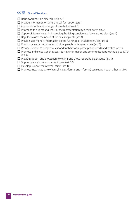## **SS**▧ **Social Services:**

- $\Box$  Raise awareness on elder abuse (art. 1)
- $\Box$  Provide information on where to call for support (art.1)
- $\Box$  Cooperate with a wide range of stakeholders (art. 1)
- $\Box$  Inform on the rights and limits of the representation by a third-party (art. 2)
- $\Box$  Support informal carers in improving the living conditions of the care recipient (art. 4)
- $\Box$  Regularly assess the needs of the care recipients (art. 4)
- $\Box$  Provide user-friendly information on the full range of available services (art. 5)
- $\square$  Encourage social participation of older people in long-term care (art. 6)
- $\Box$  Provide support to people to respond to their social participation needs and wishes (art. 6)
- $\square$  Promote and encourage the access to new information and communications technologies (ICTs)  $(art. 6)$
- $\Box$  Provide support and protection to victims and those reporting elder abuse (art. 9)
- $\Box$  Support carers' work and protect them (art. 10)
- $\Box$  Develop support for informal carers (art. 10)
- $\square$  Promote integrated care where all carers (formal and informal) can support each other (art.10).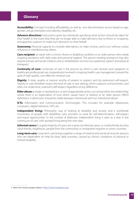# █ **Glossary**

Accessibility: Concept including affordability, as well as non-discriminatory access based on age, gender, sexual orientation and identity, disability, etc.

**Advance directives:** Instructions given by individuals specifying what actions should be taken for their health in the event that they are no longer able to make decisions due to illness or incapacity, and appoints a person to make such decisions on their behalf.

**Autonomy:** Personal capacity to consider alternatives, to make choices, and to act without undue influence or interference by others.

**Care recipient**: an adult with a chronic illness or disabling condition or an older person who needs ongoing assistance with daily tasks and personal hygiene. The person needing assistance may also require primary and acute medical care or rehabilitation services (occupational, speech and physical therapies).<sup>5</sup>

**Continuity of care:** Continuity of care is the process by which a care receiver and caregivers or healthcare professionals are cooperatively involved in ongoing health care management toward the goal of high quality, cost-effective medical care.

**Dignity**: A state, quality or manner worthy of esteem or respect; and (by extension) self-respect. Dignity in care therefore means the kind of care, in any setting, which supports and promotes, and does not undermine, a person's self-respect regardless of any difference.

**Elder abuse:** a single, or repeated act, or lack of appropriate action, occurring within any relationship where there is an expectation of trust which causes harm or distress to an older person (WHO definition). A distinction should be made between 'intentional' and 'non intentional' abuse.

**ICTs:** Information and Communication Technologies. This includes for example telephones, computers, digital television, GPS, etc.

**Independent living:** Philosophy, way of looking at disability and society, and a worldwide movement of people with disabilities who proclaim to work for self-determination, self-respect and equal opportunities. In the context of eldercare, independent living is seen as a step in the continuum of care, with assisted living being the next step.

**Informal carers:** in a great majority of cases care is given by informal carers, i.e. mainly family, but also close friends, neighbours, people from the community or unregistred migrants in some countries.

**Long-term care:** Long-term care brings together a range of medical and social services for persons who are dependent on help for basic daily activities, caused by chronic conditions of physical or mental disability.

<sup>5</sup> Taken from 'Family caregiver alliance': http://www.caregiver.org/.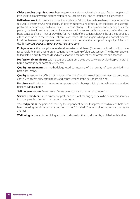**Older people's organisations:** these organisations aim to voice the interests of older people at all level (health, employment, discrimination, social inclusion, etc) and to influence policy change.

**Palliative care:** Palliative care is the active, total care of the patients whose disease is not responsive to curative treatment. Control of pain, of other symptoms, and of social, psychological and spiritual problems is paramount. Palliative care is interdisciplinary in its approach and encompasses the patient, the family and the community in its scope. In a sense, palliative care is to offer the most basic concept of care – that of providing for the needs of the patient wherever he or she is cared for, either at home or in the hospital. Palliative care affirms life and regards dying as a normal process; it neither hastens nor postpones death. It sets out to preserve the best possible quality of life until death. (source: European Association for Palliative Care)

**Policy-makers:** this group includes decision-makers at all levels (European, national, local) who are responsible for the financing, organisation and monitoring of eldercare services. They have the power to legislate on quality standards and are responsible for inspection, enforcement and sanctions.

**Professional caregivers:** paid helpers and carers employed by a service provider (hospital, nursing home, community or home care services).

**Quality assessment:** the methodology used to measure of the quality of care provided in a particular setting.

**Quality care:** it covers different dimensions of what is a 'good care' such as: appropriatness, timeliness, continuity, accessibility, affordability, and improvement of the person's wellbeing.

**Respite care:** Provision of short-term, temporary relief to those providing informal care to dependent persons living at home.

**Self determination:** Free choice of one's own acts without external compulsion

**Service providers:** Public, private, for-profit or non-profit-making agencies who deliver care services for older people in institutional settings or at home.

**Trusted person:** The person chosen by the dependent person to represent her/him and help her/ him in making decisions or make decision on her/his behalf. The term differs from one country to another.

**Wellbeing:** A concept combining an individual's health, their quality of life, and their satisfaction.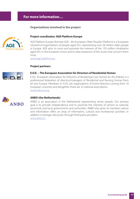#### **Organisations involved in the project**



#### **Project coordinator: AGE Platform Europe**

AGE Platform Europe (formely AGE - the European Older People's Platform) is a European network of organisations of people aged 50+ representing over 28 million older people in Europe. AGE aims to voice and promote the interests of the 150 million inhabitants aged 50+ in the European Union and to raise awareness of the issues that concern them most.

www.age-platform.eu

#### **Project partners**



#### **E.D.E. – The European Association for Directors of Residential Homes**

E.D.E. (European Association for Directors of Residential Care Homes for the Elderly) is a professional federation of directors/managers of Residential and Nursing Homes from all over Europe. Members in E.D.E. are organisations of home directors coming from 18 European countries and altogether there are 23 national associations. www.ede-eu.org



#### **ANBO (the Netherlands)**

ANBO is an association in the Netherlands representing senior people. Our primary goal is to provide independence and to promote the interests of seniors to national, provincial, and local governments and authorities. ANBO also gives its members advice and information offers an array of informative, cultural and recreational activities. In addition it arranges discounts through third-party providers. www.anbo.nl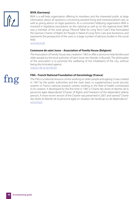

#### **BIVA (Germany)**

BIVA is a self-help organisation offering its members and the interested public at large information about all questions concerning assisted living and institutionalised care, as well as giving advice on legal questions. As a consumers' lobbying organisation BIVA is involved in legislative procedures on the national as well as on the regional level. BIVA was a member of the work group ("Round Table for Long Term Care") that formulated the German Charter of Rights for People in Need of Long Term Care and Assistance, and represents the perspective of the users in a large number of advisory bodies in the social field.

www.biva.de

#### **Commune de saint Josse – Association of Family House (Belgium)**

The Association of Family House was created in 1965 to offer a service to help families and older people by the local authority of Saint-Josse-ten-Noode, in Brussels. The philosophy of the association is to promote the wellbeing of the inhabitants of the city, without being discriminated against.

maison-de-la-famille.be

#### **FNG - French National Foundation of Gerontology (France)**

The FNG is a national resource centre working on older people and ageing. It was created in 1967 by the public authorities and the main basic or supplementary social security systems in France national research centres working in the field of health contributed to its creation. It developed for the first time in 1987 a "Charte des droits et libertés de la personne âgée dépendante" (Charter of Rights and Freedoms of the dependent elderly person). A more recent version of the Charter was presented in 2007 and named: "Charte des droits et libertés de la personne âgée en situation de handicap ou de dépendance". www.fng.fr

 ${\rm fng}$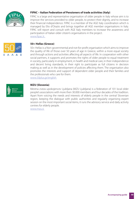

#### **FIPAC – Italian Federation of Pensioners of trade activities (Italy)**

FIPAC is a large and representative organisation of older people in Italy whose aim is to improve the services provided to older people, to protect their dignity, and to increase their financial independence. FIPAC is a member of the AGE Italy coordination which is managed by Elio d'Orazio and brings together all AGE member organisations in Italy. FIPAC will report and consult with AGE Italy members to increase the awareness and participation of Italian older citizen's organisations in the project. www.fipac.it.



#### **50+ Hellas (Greece)**

50+ Hellas is a Non-governmental and not-for-profi t organisation which aims to improve the quality of life of those over 50 years of age in Greece, within a more equal society and through actions and activities affecting all aspects of life. In cooperation with other social partners, it supports and promotes the rights of older people to equal treatment in society, particularly in employment, in health and medical care, in their independence and decent living standards, in their right to participate as full citizens in decision making as well as in the development of policies affecting them. The organisation also promotes the interests and support of dependent older people and their families and the professionals who care for them. www.50plus.gr/english

#### **MZU (Slovenia)**

Mestna zveza upokojencev Ljubljana (MZU Ljubljana) is a federation of 101 local older people's associations with more then 30.000 members and four decades of the tradition. Apart from voicing the needs and interests of elderly people in the central Slovenian region, keeping the dialogue with public authorities and regularly organising expert session on the most important social items, it runs the advisory service and daily activity centres for elderly people.

www.mzu.si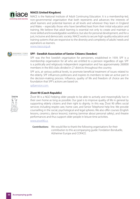

#### **NIACE (United Kingdom)**

NIACE is the National Institute of Adult Continuing Education. It is a membership-led, non-governmental organisation that both represents and advances the interests of adult learners and potential learners at all levels and wherever they learn in England and Wales – especially those who have benefited least from their initial education and training. We believe that adult learning is essential not only to create and maintain a more skilled and knowledgeable workforce, but also for personal development, and for a just, inclusive and democratic society. NIACE works to secure high-quality education and training systems that are responsive to the diversity and complexity of adults' needs and aspirations as learners.

www.niace.org.uk



#### **SENIORER I TIDEN SPF - Swedish Association of Senior Citizens (Sweden)**

SPF was the first Swedish organisation for pensioners, established in 1939. SPF is a membership organisation for all who are entitled to a pension regardless of age. SPF is a politically and religiously independent organisation and has approximately 260000 members in the 850 clubs divided in 27 districts throughout the country.

SPF acts, at various political levels, to promote beneficial treatment of issues related to the elderly. SPF influences politicians and inspires its members to take an active part in the decision-making process. Influence, quality of life and freedom of choice are the foundation that SPF's actions are based on.

spfpension.com

#### **Zivot 90 (Czech Republic)**

Život 90 is a NGO helping older people to be able to actively and meaningfully live in their own home as long as possible. Our goal is to improve quality of life in general by supporting elderly citizens and their right to dignity. In this way Život 90 offers social services including respite care, home care, and Senior Telephone help line. We provide counselling in the social, psychological and legal spheres. We also offer courses (English lessons, ceramics, dance lessons), training (seminar about personal safety), and theatre performances and thus support older people in leisure time activities.

www.zivot90.cz

**Contributions** We would like to thank the following organisations for their contribution to this accompanying guide: Fondation Bonduelle, Alzheimer Europe and COFACE.